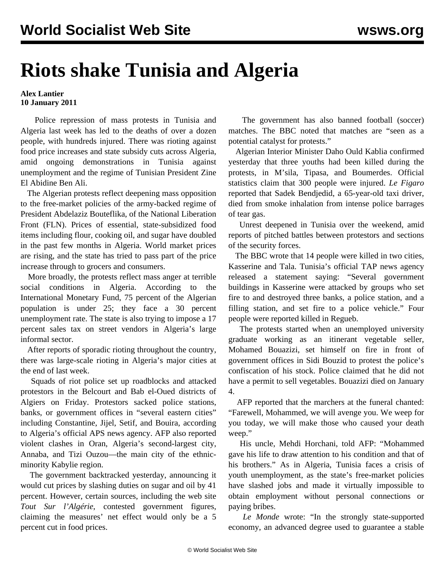## **Riots shake Tunisia and Algeria**

## **Alex Lantier 10 January 2011**

 Police repression of mass protests in Tunisia and Algeria last week has led to the deaths of over a dozen people, with hundreds injured. There was rioting against food price increases and state subsidy cuts across Algeria, amid ongoing demonstrations in Tunisia against unemployment and the regime of Tunisian President Zine El Abidine Ben Ali.

 The Algerian protests reflect deepening mass opposition to the free-market policies of the army-backed regime of President Abdelaziz Bouteflika, of the National Liberation Front (FLN). Prices of essential, state-subsidized food items including flour, cooking oil, and sugar have doubled in the past few months in Algeria. World market prices are rising, and the state has tried to pass part of the price increase through to grocers and consumers.

 More broadly, the protests reflect mass anger at terrible social conditions in Algeria. According to the International Monetary Fund, 75 percent of the Algerian population is under 25; they face a 30 percent unemployment rate. The state is also trying to impose a 17 percent sales tax on street vendors in Algeria's large informal sector.

 After reports of sporadic rioting throughout the country, there was large-scale rioting in Algeria's major cities at the end of last week.

 Squads of riot police set up roadblocks and attacked protestors in the Belcourt and Bab el-Oued districts of Algiers on Friday. Protestors sacked police stations, banks, or government offices in "several eastern cities" including Constantine, Jijel, Setif, and Bouira, according to Algeria's official APS news agency. AFP also reported violent clashes in Oran, Algeria's second-largest city, Annaba, and Tizi Ouzou—the main city of the ethnicminority Kabylie region.

 The government backtracked yesterday, announcing it would cut prices by slashing duties on sugar and oil by 41 percent. However, certain sources, including the web site *Tout Sur l'Algérie*, contested government figures, claiming the measures' net effect would only be a 5 percent cut in food prices.

 The government has also banned football (soccer) matches. The BBC noted that matches are "seen as a potential catalyst for protests."

 Algerian Interior Minister Daho Ould Kablia confirmed yesterday that three youths had been killed during the protests, in M'sila, Tipasa, and Boumerdes. Official statistics claim that 300 people were injured. *Le Figaro* reported that Sadek Bendjedid, a 65-year-old taxi driver, died from smoke inhalation from intense police barrages of tear gas.

 Unrest deepened in Tunisia over the weekend, amid reports of pitched battles between protestors and sections of the security forces.

 The BBC wrote that 14 people were killed in two cities, Kasserine and Tala. Tunisia's official TAP news agency released a statement saying: "Several government buildings in Kasserine were attacked by groups who set fire to and destroyed three banks, a police station, and a filling station, and set fire to a police vehicle." Four people were reported killed in Regueb.

 The protests started when an unemployed university graduate working as an itinerant vegetable seller, Mohamed Bouazizi, set himself on fire in front of government offices in Sidi Bouzid to protest the police's confiscation of his stock. Police claimed that he did not have a permit to sell vegetables. Bouazizi died on January 4.

 AFP reported that the marchers at the funeral chanted: "Farewell, Mohammed, we will avenge you. We weep for you today, we will make those who caused your death weep."

 His uncle, Mehdi Horchani, told AFP: "Mohammed gave his life to draw attention to his condition and that of his brothers." As in Algeria, Tunisia faces a crisis of youth unemployment, as the state's free-market policies have slashed jobs and made it virtually impossible to obtain employment without personal connections or paying bribes.

 *Le Monde* wrote: "In the strongly state-supported economy, an advanced degree used to guarantee a stable